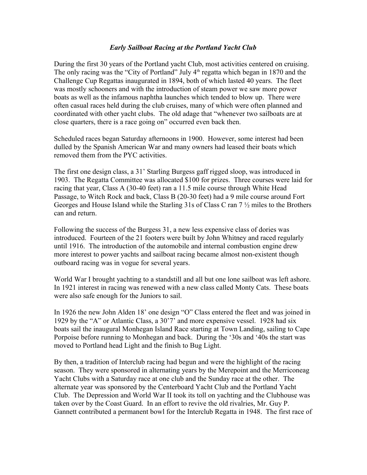#### *Early Sailboat Racing at the Portland Yacht Club*

During the first 30 years of the Portland yacht Club, most activities centered on cruising. The only racing was the "City of Portland" July  $4<sup>th</sup>$  regatta which began in 1870 and the Challenge Cup Regattas inaugurated in 1894, both of which lasted 40 years. The fleet was mostly schooners and with the introduction of steam power we saw more power boats as well as the infamous naphtha launches which tended to blow up. There were often casual races held during the club cruises, many of which were often planned and coordinated with other yacht clubs. The old adage that "whenever two sailboats are at close quarters, there is a race going on" occurred even back then.

Scheduled races began Saturday afternoons in 1900. However, some interest had been dulled by the Spanish American War and many owners had leased their boats which removed them from the PYC activities.

The first one design class, a 31' Starling Burgess gaff rigged sloop, was introduced in 1903. The Regatta Committee was allocated \$100 for prizes. Three courses were laid for racing that year, Class A (30-40 feet) ran a 11.5 mile course through White Head Passage, to Witch Rock and back, Class B (20-30 feet) had a 9 mile course around Fort Georges and House Island while the Starling 31s of Class C ran 7 ½ miles to the Brothers can and return.

Following the success of the Burgess 31, a new less expensive class of dories was introduced. Fourteen of the 21 footers were built by John Whitney and raced regularly until 1916. The introduction of the automobile and internal combustion engine drew more interest to power yachts and sailboat racing became almost non-existent though outboard racing was in vogue for several years.

World War I brought yachting to a standstill and all but one lone sailboat was left ashore. In 1921 interest in racing was renewed with a new class called Monty Cats. These boats were also safe enough for the Juniors to sail.

In 1926 the new John Alden 18' one design "O" Class entered the fleet and was joined in 1929 by the "A" or Atlantic Class, a 30'7' and more expensive vessel. 1928 had six boats sail the inaugural Monhegan Island Race starting at Town Landing, sailing to Cape Porpoise before running to Monhegan and back. During the '30s and '40s the start was moved to Portland head Light and the finish to Bug Light.

By then, a tradition of Interclub racing had begun and were the highlight of the racing season. They were sponsored in alternating years by the Merepoint and the Merriconeag Yacht Clubs with a Saturday race at one club and the Sunday race at the other. The alternate year was sponsored by the Centerboard Yacht Club and the Portland Yacht Club. The Depression and World War II took its toll on yachting and the Clubhouse was taken over by the Coast Guard. In an effort to revive the old rivalries, Mr. Guy P. Gannett contributed a permanent bowl for the Interclub Regatta in 1948. The first race of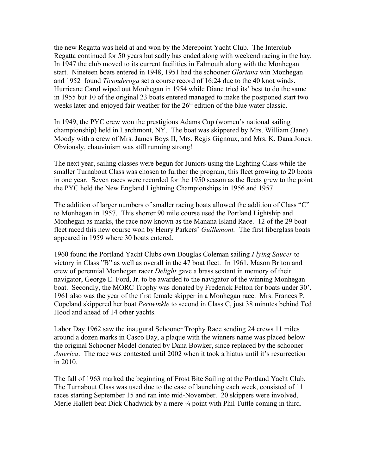the new Regatta was held at and won by the Merepoint Yacht Club. The Interclub Regatta continued for 50 years but sadly has ended along with weekend racing in the bay. In 1947 the club moved to its current facilities in Falmouth along with the Monhegan start. Nineteen boats entered in 1948, 1951 had the schooner *Gloriana* win Monhegan and 1952 found *Ticonderoga* set a course record of 16:24 due to the 40 knot winds. Hurricane Carol wiped out Monhegan in 1954 while Diane tried its' best to do the same in 1955 but 10 of the original 23 boats entered managed to make the postponed start two weeks later and enjoyed fair weather for the  $26<sup>th</sup>$  edition of the blue water classic.

In 1949, the PYC crew won the prestigious Adams Cup (women's national sailing championship) held in Larchmont, NY. The boat was skippered by Mrs. William (Jane) Moody with a crew of Mrs. James Boys II, Mrs. Regis Gignoux, and Mrs. K. Dana Jones. Obviously, chauvinism was still running strong!

The next year, sailing classes were begun for Juniors using the Lighting Class while the smaller Turnabout Class was chosen to further the program, this fleet growing to 20 boats in one year. Seven races were recorded for the 1950 season as the fleets grew to the point the PYC held the New England Lightning Championships in 1956 and 1957.

The addition of larger numbers of smaller racing boats allowed the addition of Class "C" to Monhegan in 1957. This shorter 90 mile course used the Portland Lightship and Monhegan as marks, the race now known as the Manana Island Race. 12 of the 29 boat fleet raced this new course won by Henry Parkers' *Guillemont.* The first fiberglass boats appeared in 1959 where 30 boats entered.

1960 found the Portland Yacht Clubs own Douglas Coleman sailing *Flying Saucer* to victory in Class "B" as well as overall in the 47 boat fleet. In 1961, Mason Briton and crew of perennial Monhegan racer *Delight* gave a brass sextant in memory of their navigator, George E. Ford, Jr. to be awarded to the navigator of the winning Monhegan boat. Secondly, the MORC Trophy was donated by Frederick Felton for boats under 30'. 1961 also was the year of the first female skipper in a Monhegan race. Mrs. Frances P. Copeland skippered her boat *Periwinkle* to second in Class C, just 38 minutes behind Ted Hood and ahead of 14 other yachts.

Labor Day 1962 saw the inaugural Schooner Trophy Race sending 24 crews 11 miles around a dozen marks in Casco Bay, a plaque with the winners name was placed below the original Schooner Model donated by Dana Bowker, since replaced by the schooner *America*. The race was contested until 2002 when it took a hiatus until it's resurrection in 2010.

The fall of 1963 marked the beginning of Frost Bite Sailing at the Portland Yacht Club. The Turnabout Class was used due to the ease of launching each week, consisted of 11 races starting September 15 and ran into mid-November. 20 skippers were involved, Merle Hallett beat Dick Chadwick by a mere <sup>1</sup>/4 point with Phil Tuttle coming in third.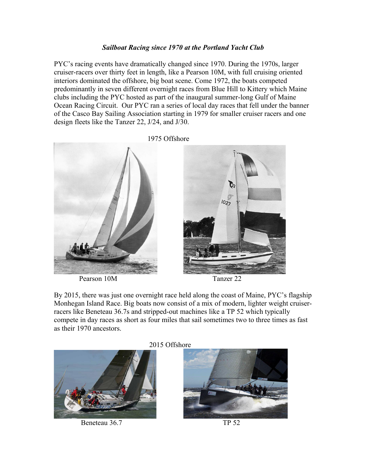## *Sailboat Racing since 1970 at the Portland Yacht Club*

PYC's racing events have dramatically changed since 1970. During the 1970s, larger cruiser-racers over thirty feet in length, like a Pearson 10M, with full cruising oriented interiors dominated the offshore, big boat scene. Come 1972, the boats competed predominantly in seven different overnight races from Blue Hill to Kittery which Maine clubs including the PYC hosted as part of the inaugural summer-long Gulf of Maine Ocean Racing Circuit. Our PYC ran a series of local day races that fell under the banner of the Casco Bay Sailing Association starting in 1979 for smaller cruiser racers and one design fleets like the Tanzer 22, J/24, and J/30.

 1975 Offshore  $1027$ 

Pearson 10M Tanzer 22



By 2015, there was just one overnight race held along the coast of Maine, PYC's flagship Monhegan Island Race. Big boats now consist of a mix of modern, lighter weight cruiserracers like Beneteau 36.7s and stripped-out machines like a TP 52 which typically compete in day races as short as four miles that sail sometimes two to three times as fast as their 1970 ancestors.



Beneteau 36.7 TP 52



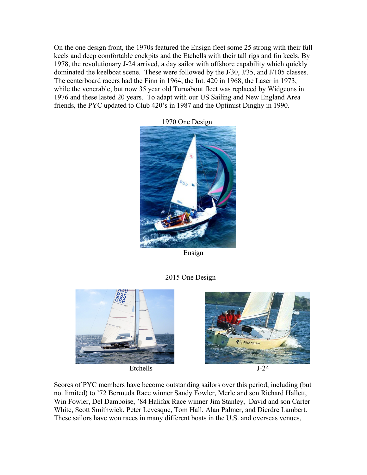On the one design front, the 1970s featured the Ensign fleet some 25 strong with their full keels and deep comfortable cockpits and the Etchells with their tall rigs and fin keels. By 1978, the revolutionary J-24 arrived, a day sailor with offshore capability which quickly dominated the keelboat scene. These were followed by the J/30, J/35, and J/105 classes. The centerboard racers had the Finn in 1964, the Int. 420 in 1968, the Laser in 1973, while the venerable, but now 35 year old Turnabout fleet was replaced by Widgeons in 1976 and these lasted 20 years. To adapt with our US Sailing and New England Area friends, the PYC updated to Club 420's in 1987 and the Optimist Dinghy in 1990.



1970 One Design

Ensign

# 2015 One Design





Scores of PYC members have become outstanding sailors over this period, including (but not limited) to '72 Bermuda Race winner Sandy Fowler, Merle and son Richard Hallett, Win Fowler, Del Damboise, '84 Halifax Race winner Jim Stanley, David and son Carter White, Scott Smithwick, Peter Levesque, Tom Hall, Alan Palmer, and Dierdre Lambert. These sailors have won races in many different boats in the U.S. and overseas venues,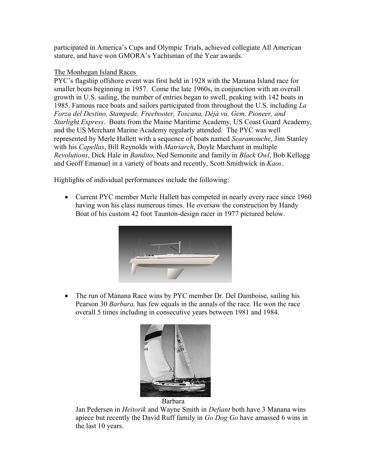participated in America's Cups and Olympic Trials, achieved collegiate All American stature, and have won GMORA's Yachtsman of the Year awards.

### The Monhegan Island Races

PYC's flagship offshore event was first held in 1928 with the Manana Island race for smaller boats beginning in 1957. Come the late 1960s, in conjunction with an overall growth in U.S. sailing, the number of entries began to swell, peaking with 142 boats in 1985. Famous race boats and sailors participated from throughout the U.S. including *La Forza del Destino, Stampede, Freebooter, Toscana, Déjà vu, Gem, Pioneer, and Starlight Express*. Boats from the Maine Maritime Academy, US Coast Guard Academy, and the US Merchant Marine Academy regularly attended. The PYC was well represented by Merle Hallett with a sequence of boats named *Scaramouche*, Jim Stanley with his *Capellas*, Bill Reynolds with *Matriarch*, Doyle Marchant in multiple *Revolutions*, Dick Hale in *Bandito*, Ned Semonite and family in *Black Owl*, Bob Kellogg and Geoff Emanuel in a variety of boats and recently, Scott Smithwick in *Kaos*.

Highlights of individual performances include the following:

• Current PYC member Merle Hallett has competed in nearly every race since 1960 having won his class numerous times. He oversaw the construction by Handy Boat of his custom 42 foot Taunton-design racer in 1977 pictured below.



• The run of Manana Race wins by PYC member Dr. Del Damboise, sailing his Pearson 30 *Barbara,* has few equals in the annals of the race. He won the race overall 5 times including in consecutive years between 1981 and 1984.





Jan Pedersen in *Heitorik* and Wayne Smith in *Defiant* both have 3 Manana wins apiece but recently the David Ruff family in *Go Dog Go* have amassed 6 wins in the last 10 years.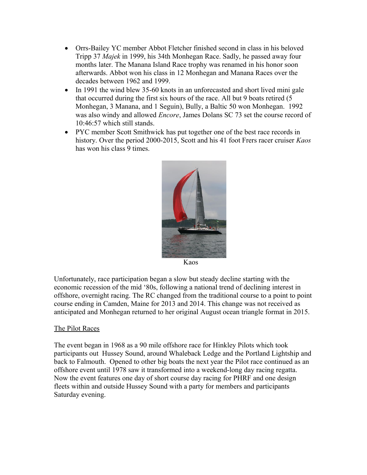- Orrs-Bailey YC member Abbot Fletcher finished second in class in his beloved Tripp 37 *Majek* in 1999, his 34th Monhegan Race. Sadly, he passed away four months later. The Manana Island Race trophy was renamed in his honor soon afterwards. Abbot won his class in 12 Monhegan and Manana Races over the decades between 1962 and 1999.
- In 1991 the wind blew 35-60 knots in an unforecasted and short lived mini gale that occurred during the first six hours of the race. All but 9 boats retired (5 Monhegan, 3 Manana, and 1 Seguin), Bully, a Baltic 50 won Monhegan. 1992 was also windy and allowed *Encore*, James Dolans SC 73 set the course record of 10:46:57 which still stands.
- PYC member Scott Smithwick has put together one of the best race records in history. Over the period 2000-2015, Scott and his 41 foot Frers racer cruiser *Kaos* has won his class 9 times.



Kaos

Unfortunately, race participation began a slow but steady decline starting with the economic recession of the mid '80s, following a national trend of declining interest in offshore, overnight racing. The RC changed from the traditional course to a point to point course ending in Camden, Maine for 2013 and 2014. This change was not received as anticipated and Monhegan returned to her original August ocean triangle format in 2015.

## The Pilot Races

The event began in 1968 as a 90 mile offshore race for Hinkley Pilots which took participants out Hussey Sound, around Whaleback Ledge and the Portland Lightship and back to Falmouth. Opened to other big boats the next year the Pilot race continued as an offshore event until 1978 saw it transformed into a weekend-long day racing regatta. Now the event features one day of short course day racing for PHRF and one design fleets within and outside Hussey Sound with a party for members and participants Saturday evening.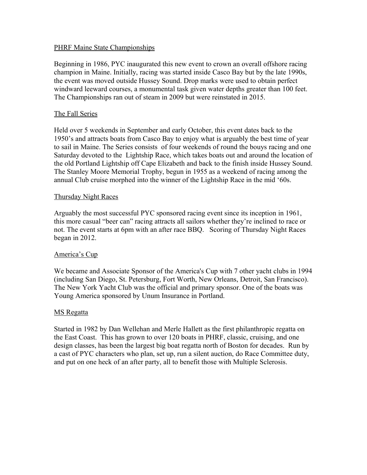### PHRF Maine State Championships

Beginning in 1986, PYC inaugurated this new event to crown an overall offshore racing champion in Maine. Initially, racing was started inside Casco Bay but by the late 1990s, the event was moved outside Hussey Sound. Drop marks were used to obtain perfect windward leeward courses, a monumental task given water depths greater than 100 feet. The Championships ran out of steam in 2009 but were reinstated in 2015.

#### The Fall Series

Held over 5 weekends in September and early October, this event dates back to the 1950's and attracts boats from Casco Bay to enjoy what is arguably the best time of year to sail in Maine. The Series consists of four weekends of round the bouys racing and one Saturday devoted to the Lightship Race, which takes boats out and around the location of the old Portland Lightship off Cape Elizabeth and back to the finish inside Hussey Sound. The Stanley Moore Memorial Trophy, begun in 1955 as a weekend of racing among the annual Club cruise morphed into the winner of the Lightship Race in the mid '60s.

#### Thursday Night Races

Arguably the most successful PYC sponsored racing event since its inception in 1961, this more casual "beer can" racing attracts all sailors whether they're inclined to race or not. The event starts at 6pm with an after race BBQ. Scoring of Thursday Night Races began in 2012.

### America's Cup

We became and Associate Sponsor of the America's Cup with 7 other yacht clubs in 1994 (including San Diego, St. Petersburg, Fort Worth, New Orleans, Detroit, San Francisco). The New York Yacht Club was the official and primary sponsor. One of the boats was Young America sponsored by Unum Insurance in Portland.

#### MS Regatta

Started in 1982 by Dan Wellehan and Merle Hallett as the first philanthropic regatta on the East Coast. This has grown to over 120 boats in PHRF, classic, cruising, and one design classes, has been the largest big boat regatta north of Boston for decades. Run by a cast of PYC characters who plan, set up, run a silent auction, do Race Committee duty, and put on one heck of an after party, all to benefit those with Multiple Sclerosis.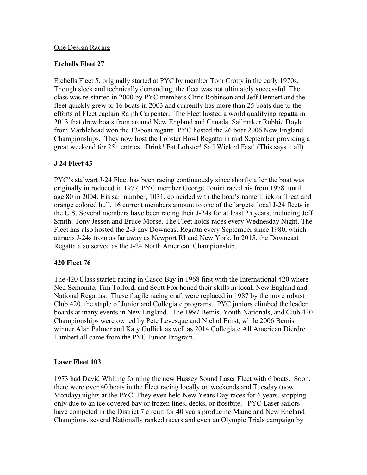### One Design Racing

### **Etchells Fleet 27**

Etchells Fleet 5, originally started at PYC by member Tom Crotty in the early 1970s. Though sleek and technically demanding, the fleet was not ultimately successful. The class was re-started in 2000 by PYC members Chris Robinson and Jeff Bennert and the fleet quickly grew to 16 boats in 2003 and currently has more than 25 boats due to the efforts of Fleet captain Ralph Carpenter. The Fleet hosted a world qualifying regatta in 2013 that drew boats from around New England and Canada. Sailmaker Robbie Doyle from Marblehead won the 13-boat regatta. PYC hosted the 26 boat 2006 New England Championships. They now host the Lobster Bowl Regatta in mid September providing a great weekend for 25+ entries. Drink! Eat Lobster! Sail Wicked Fast! (This says it all)

## **J 24 Fleet 43**

PYC's stalwart J-24 Fleet has been racing continuously since shortly after the boat was originally introduced in 1977. PYC member George Tonini raced his from 1978 until age 80 in 2004. His sail number, 1031, coincided with the boat's name Trick or Treat and orange colored hull. 16 current members amount to one of the largetst local J-24 fleets in the U.S. Several members have been racing their J-24s for at least 25 years, including Jeff Smith, Tony Jessen and Bruce Morse. The Fleet holds races every Wednesday Night. The Fleet has also hosted the 2-3 day Downeast Regatta every September since 1980, which attracts J-24s from as far away as Newport RI and New York. In 2015, the Downeast Regatta also served as the J-24 North American Championship.

### **420 Fleet 76**

The 420 Class started racing in Casco Bay in 1968 first with the International 420 where Ned Semonite, Tim Tolford, and Scott Fox honed their skills in local, New England and National Regattas. These fragile racing craft were replaced in 1987 by the more robust Club 420, the staple of Junior and Collegiate programs. PYC juniors climbed the leader boards at many events in New England. The 1997 Bemis, Youth Nationals, and Club 420 Championships were owned by Pete Levesque and Nichol Ernst, while 2006 Bemis winner Alan Palmer and Katy Gullick as well as 2014 Collegiate All American Dierdre Lambert all came from the PYC Junior Program.

## **Laser Fleet 103**

1973 had David Whiting forming the new Hussey Sound Laser Fleet with 6 boats. Soon, there were over 40 boats in the Fleet racing locally on weekends and Tuesday (now Monday) nights at the PYC. They even held New Years Day races for 6 years, stopping only due to an ice covered bay or frozen lines, decks, or frostbite. PYC Laser sailors have competed in the District 7 circuit for 40 years producing Maine and New England Champions, several Nationally ranked racers and even an Olympic Trials campaign by